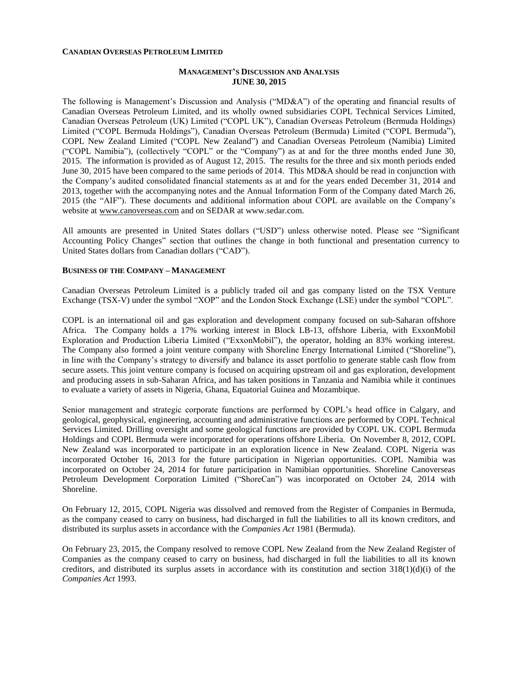#### **CANADIAN OVERSEAS PETROLEUM LIMITED**

# **MANAGEMENT'S DISCUSSION AND ANALYSIS JUNE 30, 2015**

The following is Management's Discussion and Analysis ("MD&A") of the operating and financial results of Canadian Overseas Petroleum Limited, and its wholly owned subsidiaries COPL Technical Services Limited, Canadian Overseas Petroleum (UK) Limited ("COPL UK"), Canadian Overseas Petroleum (Bermuda Holdings) Limited ("COPL Bermuda Holdings"), Canadian Overseas Petroleum (Bermuda) Limited ("COPL Bermuda"), COPL New Zealand Limited ("COPL New Zealand") and Canadian Overseas Petroleum (Namibia) Limited ("COPL Namibia"), (collectively "COPL" or the "Company") as at and for the three months ended June 30, 2015. The information is provided as of August 12, 2015. The results for the three and six month periods ended June 30, 2015 have been compared to the same periods of 2014. This MD&A should be read in conjunction with the Company's audited consolidated financial statements as at and for the years ended December 31, 2014 and 2013, together with the accompanying notes and the Annual Information Form of the Company dated March 26, 2015 (the "AIF"). These documents and additional information about COPL are available on the Company's website at [www.canoverseas.com](http://www.canoverseas.com/) and on SEDAR at [www.sedar.com.](http://www.sedar.com/)

All amounts are presented in United States dollars ("USD") unless otherwise noted. Please see "Significant Accounting Policy Changes" section that outlines the change in both functional and presentation currency to United States dollars from Canadian dollars ("CAD").

# **BUSINESS OF THE COMPANY – MANAGEMENT**

Canadian Overseas Petroleum Limited is a publicly traded oil and gas company listed on the TSX Venture Exchange (TSX-V) under the symbol "XOP" and the London Stock Exchange (LSE) under the symbol "COPL".

COPL is an international oil and gas exploration and development company focused on sub-Saharan offshore Africa. The Company holds a 17% working interest in Block LB-13, offshore Liberia, with ExxonMobil Exploration and Production Liberia Limited ("ExxonMobil"), the operator, holding an 83% working interest. The Company also formed a joint venture company with Shoreline Energy International Limited ("Shoreline"), in line with the Company's strategy to diversify and balance its asset portfolio to generate stable cash flow from secure assets. This joint venture company is focused on acquiring upstream oil and gas exploration, development and producing assets in sub-Saharan Africa, and has taken positions in Tanzania and Namibia while it continues to evaluate a variety of assets in Nigeria, Ghana, Equatorial Guinea and Mozambique.

Senior management and strategic corporate functions are performed by COPL's head office in Calgary, and geological, geophysical, engineering, accounting and administrative functions are performed by COPL Technical Services Limited. Drilling oversight and some geological functions are provided by COPL UK. COPL Bermuda Holdings and COPL Bermuda were incorporated for operations offshore Liberia. On November 8, 2012, COPL New Zealand was incorporated to participate in an exploration licence in New Zealand. COPL Nigeria was incorporated October 16, 2013 for the future participation in Nigerian opportunities. COPL Namibia was incorporated on October 24, 2014 for future participation in Namibian opportunities. Shoreline Canoverseas Petroleum Development Corporation Limited ("ShoreCan") was incorporated on October 24, 2014 with Shoreline.

On February 12, 2015, COPL Nigeria was dissolved and removed from the Register of Companies in Bermuda, as the company ceased to carry on business, had discharged in full the liabilities to all its known creditors, and distributed its surplus assets in accordance with the *Companies Act* 1981 (Bermuda).

On February 23, 2015, the Company resolved to remove COPL New Zealand from the New Zealand Register of Companies as the company ceased to carry on business, had discharged in full the liabilities to all its known creditors, and distributed its surplus assets in accordance with its constitution and section  $318(1)(d)(i)$  of the *Companies Act* 1993.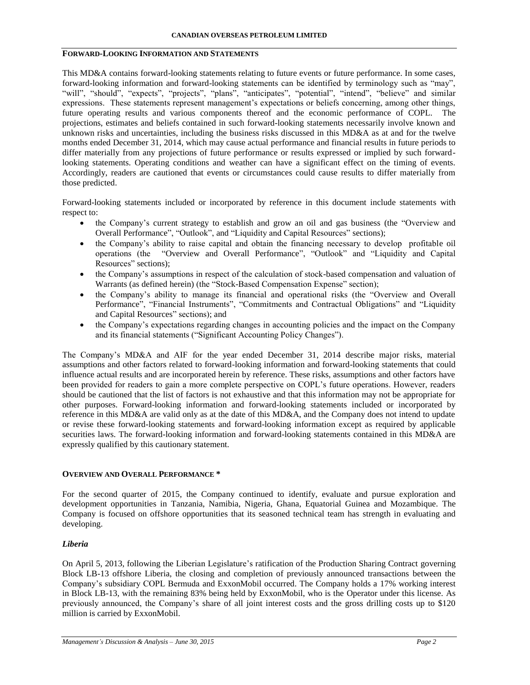# **FORWARD-LOOKING INFORMATION AND STATEMENTS**

This MD&A contains forward-looking statements relating to future events or future performance. In some cases, forward-looking information and forward-looking statements can be identified by terminology such as "may", "will", "should", "expects", "projects", "plans", "anticipates", "potential", "intend", "believe" and similar expressions. These statements represent management's expectations or beliefs concerning, among other things, future operating results and various components thereof and the economic performance of COPL. The projections, estimates and beliefs contained in such forward-looking statements necessarily involve known and unknown risks and uncertainties, including the business risks discussed in this MD&A as at and for the twelve months ended December 31, 2014, which may cause actual performance and financial results in future periods to differ materially from any projections of future performance or results expressed or implied by such forwardlooking statements. Operating conditions and weather can have a significant effect on the timing of events. Accordingly, readers are cautioned that events or circumstances could cause results to differ materially from those predicted.

Forward-looking statements included or incorporated by reference in this document include statements with respect to:

- the Company's current strategy to establish and grow an oil and gas business (the "Overview and Overall Performance", "Outlook", and "Liquidity and Capital Resources" sections);
- the Company's ability to raise capital and obtain the financing necessary to develop profitable oil operations (the "Overview and Overall Performance", "Outlook" and "Liquidity and Capital Resources" sections);
- the Company's assumptions in respect of the calculation of stock-based compensation and valuation of Warrants (as defined herein) (the "Stock-Based Compensation Expense" section);
- the Company's ability to manage its financial and operational risks (the "Overview and Overall Performance", "Financial Instruments", "Commitments and Contractual Obligations" and "Liquidity and Capital Resources" sections); and
- the Company's expectations regarding changes in accounting policies and the impact on the Company and its financial statements ("Significant Accounting Policy Changes").

The Company's MD&A and AIF for the year ended December 31, 2014 describe major risks, material assumptions and other factors related to forward-looking information and forward-looking statements that could influence actual results and are incorporated herein by reference. These risks, assumptions and other factors have been provided for readers to gain a more complete perspective on COPL's future operations. However, readers should be cautioned that the list of factors is not exhaustive and that this information may not be appropriate for other purposes. Forward-looking information and forward-looking statements included or incorporated by reference in this MD&A are valid only as at the date of this MD&A, and the Company does not intend to update or revise these forward-looking statements and forward-looking information except as required by applicable securities laws. The forward-looking information and forward-looking statements contained in this MD&A are expressly qualified by this cautionary statement.

## **OVERVIEW AND OVERALL PERFORMANCE \***

For the second quarter of 2015, the Company continued to identify, evaluate and pursue exploration and development opportunities in Tanzania, Namibia, Nigeria, Ghana, Equatorial Guinea and Mozambique. The Company is focused on offshore opportunities that its seasoned technical team has strength in evaluating and developing.

# *Liberia*

On April 5, 2013, following the Liberian Legislature's ratification of the Production Sharing Contract governing Block LB-13 offshore Liberia, the closing and completion of previously announced transactions between the Company's subsidiary COPL Bermuda and ExxonMobil occurred. The Company holds a 17% working interest in Block LB-13, with the remaining 83% being held by ExxonMobil, who is the Operator under this license. As previously announced, the Company's share of all joint interest costs and the gross drilling costs up to \$120 million is carried by ExxonMobil.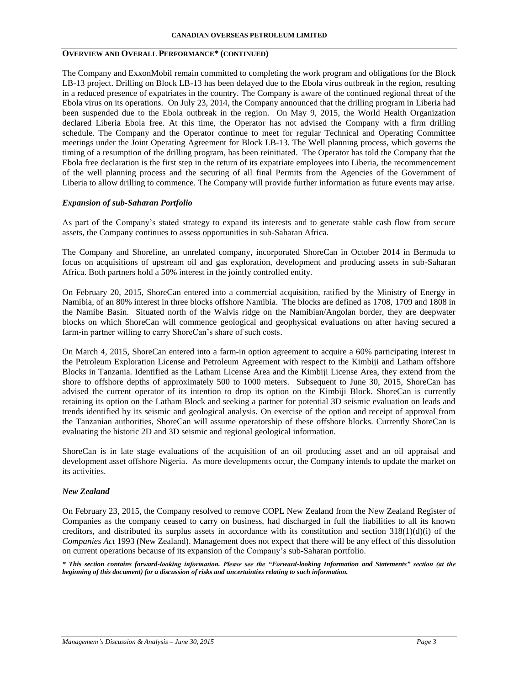# **OVERVIEW AND OVERALL PERFORMANCE\* (CONTINUED)**

The Company and ExxonMobil remain committed to completing the work program and obligations for the Block LB-13 project. Drilling on Block LB-13 has been delayed due to the Ebola virus outbreak in the region, resulting in a reduced presence of expatriates in the country. The Company is aware of the continued regional threat of the Ebola virus on its operations. On July 23, 2014, the Company announced that the drilling program in Liberia had been suspended due to the Ebola outbreak in the region. On May 9, 2015, the World Health Organization declared Liberia Ebola free. At this time, the Operator has not advised the Company with a firm drilling schedule. The Company and the Operator continue to meet for regular Technical and Operating Committee meetings under the Joint Operating Agreement for Block LB-13. The Well planning process, which governs the timing of a resumption of the drilling program, has been reinitiated. The Operator has told the Company that the Ebola free declaration is the first step in the return of its expatriate employees into Liberia, the recommencement of the well planning process and the securing of all final Permits from the Agencies of the Government of Liberia to allow drilling to commence. The Company will provide further information as future events may arise.

## *Expansion of sub-Saharan Portfolio*

As part of the Company's stated strategy to expand its interests and to generate stable cash flow from secure assets, the Company continues to assess opportunities in sub-Saharan Africa.

The Company and Shoreline, an unrelated company, incorporated ShoreCan in October 2014 in Bermuda to focus on acquisitions of upstream oil and gas exploration, development and producing assets in sub-Saharan Africa. Both partners hold a 50% interest in the jointly controlled entity.

On February 20, 2015, ShoreCan entered into a commercial acquisition, ratified by the Ministry of Energy in Namibia, of an 80% interest in three blocks offshore Namibia. The blocks are defined as 1708, 1709 and 1808 in the Namibe Basin. Situated north of the Walvis ridge on the Namibian/Angolan border, they are deepwater blocks on which ShoreCan will commence geological and geophysical evaluations on after having secured a farm-in partner willing to carry ShoreCan's share of such costs.

On March 4, 2015, ShoreCan entered into a farm-in option agreement to acquire a 60% participating interest in the Petroleum Exploration License and Petroleum Agreement with respect to the Kimbiji and Latham offshore Blocks in Tanzania. Identified as the Latham License Area and the Kimbiji License Area, they extend from the shore to offshore depths of approximately 500 to 1000 meters. Subsequent to June 30, 2015, ShoreCan has advised the current operator of its intention to drop its option on the Kimbiji Block. ShoreCan is currently retaining its option on the Latham Block and seeking a partner for potential 3D seismic evaluation on leads and trends identified by its seismic and geological analysis. On exercise of the option and receipt of approval from the Tanzanian authorities, ShoreCan will assume operatorship of these offshore blocks. Currently ShoreCan is evaluating the historic 2D and 3D seismic and regional geological information.

ShoreCan is in late stage evaluations of the acquisition of an oil producing asset and an oil appraisal and development asset offshore Nigeria. As more developments occur, the Company intends to update the market on its activities.

## *New Zealand*

On February 23, 2015, the Company resolved to remove COPL New Zealand from the New Zealand Register of Companies as the company ceased to carry on business, had discharged in full the liabilities to all its known creditors, and distributed its surplus assets in accordance with its constitution and section  $318(1)(d)(i)$  of the *Companies Act* 1993 (New Zealand). Management does not expect that there will be any effect of this dissolution on current operations because of its expansion of the Company's sub-Saharan portfolio.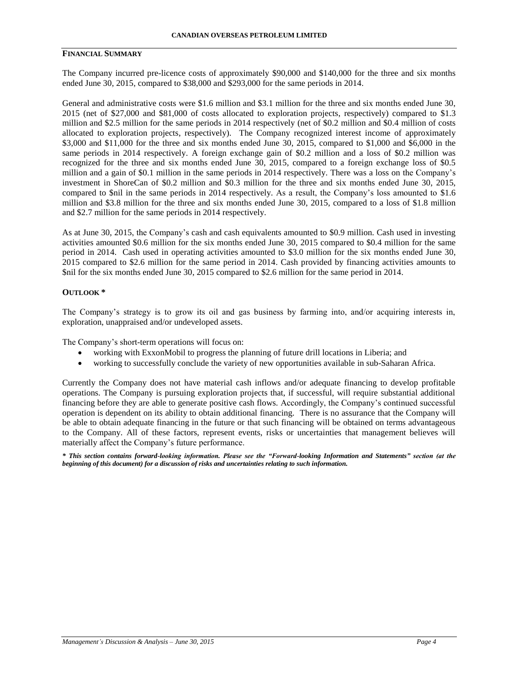## **FINANCIAL SUMMARY**

The Company incurred pre-licence costs of approximately \$90,000 and \$140,000 for the three and six months ended June 30, 2015, compared to \$38,000 and \$293,000 for the same periods in 2014.

General and administrative costs were \$1.6 million and \$3.1 million for the three and six months ended June 30, 2015 (net of \$27,000 and \$81,000 of costs allocated to exploration projects, respectively) compared to \$1.3 million and \$2.5 million for the same periods in 2014 respectively (net of \$0.2 million and \$0.4 million of costs allocated to exploration projects, respectively). The Company recognized interest income of approximately \$3,000 and \$11,000 for the three and six months ended June 30, 2015, compared to \$1,000 and \$6,000 in the same periods in 2014 respectively. A foreign exchange gain of \$0.2 million and a loss of \$0.2 million was recognized for the three and six months ended June 30, 2015, compared to a foreign exchange loss of \$0.5 million and a gain of \$0.1 million in the same periods in 2014 respectively. There was a loss on the Company's investment in ShoreCan of \$0.2 million and \$0.3 million for the three and six months ended June 30, 2015, compared to \$nil in the same periods in 2014 respectively. As a result, the Company's loss amounted to \$1.6 million and \$3.8 million for the three and six months ended June 30, 2015, compared to a loss of \$1.8 million and \$2.7 million for the same periods in 2014 respectively.

As at June 30, 2015, the Company's cash and cash equivalents amounted to \$0.9 million. Cash used in investing activities amounted \$0.6 million for the six months ended June 30, 2015 compared to \$0.4 million for the same period in 2014. Cash used in operating activities amounted to \$3.0 million for the six months ended June 30, 2015 compared to \$2.6 million for the same period in 2014. Cash provided by financing activities amounts to \$nil for the six months ended June 30, 2015 compared to \$2.6 million for the same period in 2014.

#### **OUTLOOK \***

The Company's strategy is to grow its oil and gas business by farming into, and/or acquiring interests in, exploration, unappraised and/or undeveloped assets.

The Company's short-term operations will focus on:

- working with ExxonMobil to progress the planning of future drill locations in Liberia; and
- working to successfully conclude the variety of new opportunities available in sub-Saharan Africa.

Currently the Company does not have material cash inflows and/or adequate financing to develop profitable operations. The Company is pursuing exploration projects that, if successful, will require substantial additional financing before they are able to generate positive cash flows. Accordingly, the Company's continued successful operation is dependent on its ability to obtain additional financing. There is no assurance that the Company will be able to obtain adequate financing in the future or that such financing will be obtained on terms advantageous to the Company. All of these factors, represent events, risks or uncertainties that management believes will materially affect the Company's future performance.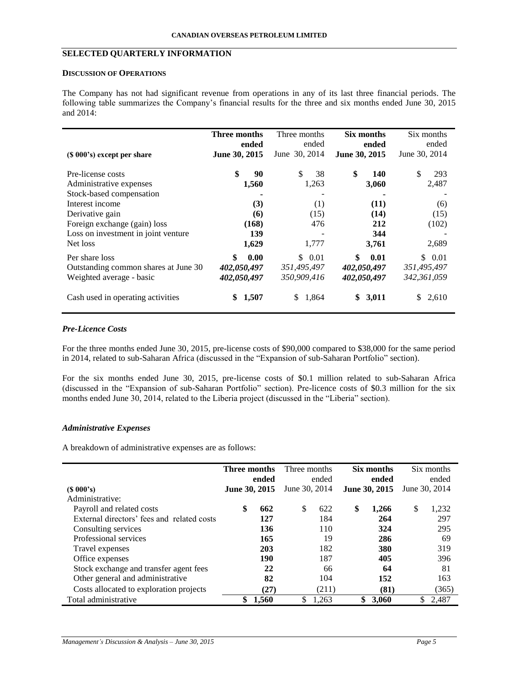# **SELECTED QUARTERLY INFORMATION**

## **DISCUSSION OF OPERATIONS**

The Company has not had significant revenue from operations in any of its last three financial periods. The following table summarizes the Company's financial results for the three and six months ended June 30, 2015 and 2014:

|                                                                                    | Three months                             | Three months                         | Six months                               | Six months                            |
|------------------------------------------------------------------------------------|------------------------------------------|--------------------------------------|------------------------------------------|---------------------------------------|
| $(S 000's)$ except per share                                                       | ended<br>June 30, 2015                   | ended<br>June 30, 2014               | ended<br>June 30, 2015                   | ended<br>June 30, 2014                |
| Pre-license costs                                                                  | \$<br>90                                 | \$<br>38                             | \$<br>140                                | \$<br>293                             |
| Administrative expenses                                                            | 1,560                                    | 1,263                                | 3,060                                    | 2,487                                 |
| Stock-based compensation                                                           |                                          |                                      |                                          |                                       |
| Interest income                                                                    | (3)                                      | (1)                                  | (11)                                     | (6)                                   |
| Derivative gain                                                                    | (6)                                      | (15)                                 | (14)                                     | (15)                                  |
| Foreign exchange (gain) loss                                                       | (168)                                    | 476                                  | 212                                      | (102)                                 |
| Loss on investment in joint venture                                                | 139                                      |                                      | 344                                      |                                       |
| Net loss                                                                           | 1,629                                    | 1,777                                | 3,761                                    | 2,689                                 |
| Per share loss<br>Outstanding common shares at June 30<br>Weighted average - basic | \$<br>0.00<br>402,050,497<br>402,050,497 | \$0.01<br>351,495,497<br>350,909,416 | \$<br>0.01<br>402,050,497<br>402,050,497 | \$ 0.01<br>351,495,497<br>342,361,059 |
| Cash used in operating activities                                                  | 1,507<br>S                               | 1,864<br>\$.                         | 3,011<br>S                               | 2,610<br>S.                           |

# *Pre-Licence Costs*

For the three months ended June 30, 2015, pre-license costs of \$90,000 compared to \$38,000 for the same period in 2014, related to sub-Saharan Africa (discussed in the "Expansion of sub-Saharan Portfolio" section).

For the six months ended June 30, 2015, pre-license costs of \$0.1 million related to sub-Saharan Africa (discussed in the "Expansion of sub-Saharan Portfolio" section). Pre-licence costs of \$0.3 million for the six months ended June 30, 2014, related to the Liberia project (discussed in the "Liberia" section).

## *Administrative Expenses*

A breakdown of administrative expenses are as follows:

|                                            | Three months  | ended | Three months  | ended | Six months<br>ended | Six months<br>ended |
|--------------------------------------------|---------------|-------|---------------|-------|---------------------|---------------------|
| $(S\ 000's)$                               | June 30, 2015 |       | June 30, 2014 |       | June 30, 2015       | June 30, 2014       |
| Administrative:                            |               |       |               |       |                     |                     |
| Payroll and related costs                  | \$            | 662   | S             | 622   | \$<br>1,266         | \$<br>1,232         |
| External directors' fees and related costs |               | 127   |               | 184   | 264                 | 297                 |
| Consulting services                        |               | 136   |               | 110   | 324                 | 295                 |
| Professional services                      |               | 165   |               | 19    | 286                 | 69                  |
| Travel expenses                            |               | 203   |               | 182   | 380                 | 319                 |
| Office expenses                            |               | 190   |               | 187   | 405                 | 396                 |
| Stock exchange and transfer agent fees     |               | 22    |               | 66    | 64                  | 81                  |
| Other general and administrative           |               | 82    |               | 104   | 152                 | 163                 |
| Costs allocated to exploration projects    |               | (27)  |               | (211) | (81)                | (365)               |
| Total administrative                       | \$            | 1.560 | \$            | 1,263 | \$<br>3.060         | \$<br>2,487         |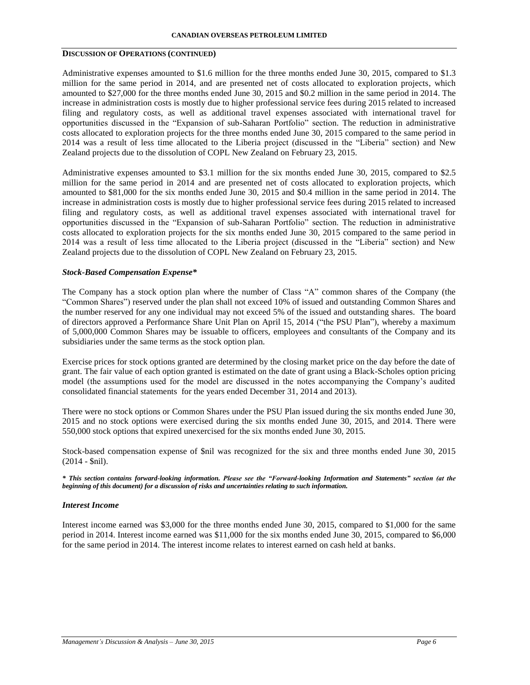## **DISCUSSION OF OPERATIONS (CONTINUED)**

Administrative expenses amounted to \$1.6 million for the three months ended June 30, 2015, compared to \$1.3 million for the same period in 2014, and are presented net of costs allocated to exploration projects, which amounted to \$27,000 for the three months ended June 30, 2015 and \$0.2 million in the same period in 2014. The increase in administration costs is mostly due to higher professional service fees during 2015 related to increased filing and regulatory costs, as well as additional travel expenses associated with international travel for opportunities discussed in the "Expansion of sub-Saharan Portfolio" section. The reduction in administrative costs allocated to exploration projects for the three months ended June 30, 2015 compared to the same period in 2014 was a result of less time allocated to the Liberia project (discussed in the "Liberia" section) and New Zealand projects due to the dissolution of COPL New Zealand on February 23, 2015.

Administrative expenses amounted to \$3.1 million for the six months ended June 30, 2015, compared to \$2.5 million for the same period in 2014 and are presented net of costs allocated to exploration projects, which amounted to \$81,000 for the six months ended June 30, 2015 and \$0.4 million in the same period in 2014. The increase in administration costs is mostly due to higher professional service fees during 2015 related to increased filing and regulatory costs, as well as additional travel expenses associated with international travel for opportunities discussed in the "Expansion of sub-Saharan Portfolio" section. The reduction in administrative costs allocated to exploration projects for the six months ended June 30, 2015 compared to the same period in 2014 was a result of less time allocated to the Liberia project (discussed in the "Liberia" section) and New Zealand projects due to the dissolution of COPL New Zealand on February 23, 2015.

## *Stock-Based Compensation Expense\**

The Company has a stock option plan where the number of Class "A" common shares of the Company (the "Common Shares") reserved under the plan shall not exceed 10% of issued and outstanding Common Shares and the number reserved for any one individual may not exceed 5% of the issued and outstanding shares. The board of directors approved a Performance Share Unit Plan on April 15, 2014 ("the PSU Plan"), whereby a maximum of 5,000,000 Common Shares may be issuable to officers, employees and consultants of the Company and its subsidiaries under the same terms as the stock option plan.

Exercise prices for stock options granted are determined by the closing market price on the day before the date of grant. The fair value of each option granted is estimated on the date of grant using a Black-Scholes option pricing model (the assumptions used for the model are discussed in the notes accompanying the Company's audited consolidated financial statements for the years ended December 31, 2014 and 2013).

There were no stock options or Common Shares under the PSU Plan issued during the six months ended June 30, 2015 and no stock options were exercised during the six months ended June 30, 2015, and 2014. There were 550,000 stock options that expired unexercised for the six months ended June 30, 2015.

Stock-based compensation expense of \$nil was recognized for the six and three months ended June 30, 2015 (2014 - \$nil).

*\* This section contains forward-looking information. Please see the "Forward-looking Information and Statements" section (at the beginning of this document) for a discussion of risks and uncertainties relating to such information.*

## *Interest Income*

Interest income earned was \$3,000 for the three months ended June 30, 2015, compared to \$1,000 for the same period in 2014. Interest income earned was \$11,000 for the six months ended June 30, 2015, compared to \$6,000 for the same period in 2014. The interest income relates to interest earned on cash held at banks.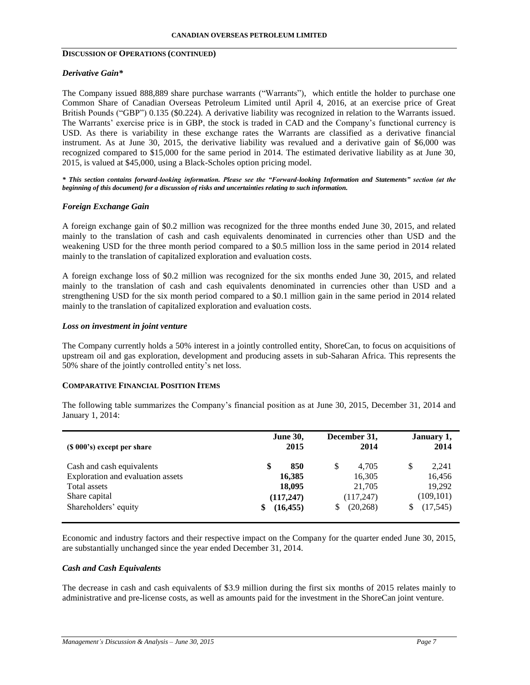# **DISCUSSION OF OPERATIONS (CONTINUED)**

## *Derivative Gain\**

The Company issued 888,889 share purchase warrants ("Warrants"), which entitle the holder to purchase one Common Share of Canadian Overseas Petroleum Limited until April 4, 2016, at an exercise price of Great British Pounds ("GBP") 0.135 (\$0.224). A derivative liability was recognized in relation to the Warrants issued. The Warrants' exercise price is in GBP, the stock is traded in CAD and the Company's functional currency is USD. As there is variability in these exchange rates the Warrants are classified as a derivative financial instrument. As at June 30, 2015, the derivative liability was revalued and a derivative gain of \$6,000 was recognized compared to \$15,000 for the same period in 2014. The estimated derivative liability as at June 30, 2015, is valued at \$45,000, using a Black-Scholes option pricing model.

*\* This section contains forward-looking information. Please see the "Forward-looking Information and Statements" section (at the beginning of this document) for a discussion of risks and uncertainties relating to such information.*

# *Foreign Exchange Gain*

A foreign exchange gain of \$0.2 million was recognized for the three months ended June 30, 2015, and related mainly to the translation of cash and cash equivalents denominated in currencies other than USD and the weakening USD for the three month period compared to a \$0.5 million loss in the same period in 2014 related mainly to the translation of capitalized exploration and evaluation costs.

A foreign exchange loss of \$0.2 million was recognized for the six months ended June 30, 2015, and related mainly to the translation of cash and cash equivalents denominated in currencies other than USD and a strengthening USD for the six month period compared to a \$0.1 million gain in the same period in 2014 related mainly to the translation of capitalized exploration and evaluation costs.

## *Loss on investment in joint venture*

The Company currently holds a 50% interest in a jointly controlled entity, ShoreCan, to focus on acquisitions of upstream oil and gas exploration, development and producing assets in sub-Saharan Africa. This represents the 50% share of the jointly controlled entity's net loss.

## **COMPARATIVE FINANCIAL POSITION ITEMS**

The following table summarizes the Company's financial position as at June 30, 2015, December 31, 2014 and January 1, 2014:

| $(S 000's)$ except per share                                                                                            | <b>June 30,</b>                                         | December 31,                                                  | January 1,                                                     |
|-------------------------------------------------------------------------------------------------------------------------|---------------------------------------------------------|---------------------------------------------------------------|----------------------------------------------------------------|
|                                                                                                                         | 2015                                                    | 2014                                                          | 2014                                                           |
| Cash and cash equivalents<br>Exploration and evaluation assets<br>Total assets<br>Share capital<br>Shareholders' equity | 850<br>\$<br>16,385<br>18,095<br>(117,247)<br>(16, 455) | 4.705<br>S<br>16,305<br>21,705<br>(117,247)<br>(20, 268)<br>S | 2.241<br>S<br>16,456<br>19,292<br>(109, 101)<br>(17, 545)<br>S |

Economic and industry factors and their respective impact on the Company for the quarter ended June 30, 2015, are substantially unchanged since the year ended December 31, 2014.

## *Cash and Cash Equivalents*

The decrease in cash and cash equivalents of \$3.9 million during the first six months of 2015 relates mainly to administrative and pre-license costs, as well as amounts paid for the investment in the ShoreCan joint venture.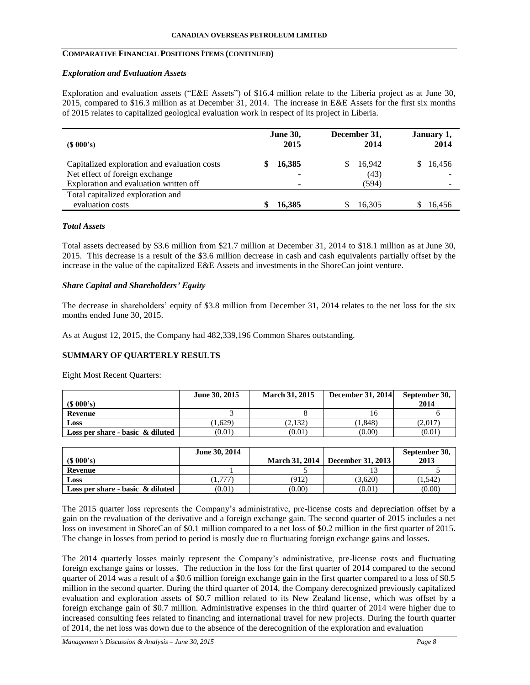# **COMPARATIVE FINANCIAL POSITIONS ITEMS (CONTINUED)**

#### *Exploration and Evaluation Assets*

Exploration and evaluation assets ("E&E Assets") of \$16.4 million relate to the Liberia project as at June 30, 2015, compared to \$16.3 million as at December 31, 2014. The increase in E&E Assets for the first six months of 2015 relates to capitalized geological evaluation work in respect of its project in Liberia.

| $(S\ 000's)$                                                                | <b>June 30,</b> | December 31, | January 1, |
|-----------------------------------------------------------------------------|-----------------|--------------|------------|
|                                                                             | 2015            | 2014         | 2014       |
| Capitalized exploration and evaluation costs                                | 16,385          | 16,942       | 16,456     |
| Net effect of foreign exchange                                              | ۰               | (43)         |            |
| Exploration and evaluation written off<br>Total capitalized exploration and | ٠               | (594)        |            |
| evaluation costs                                                            | 16,385          | 16,305       | 16.456     |

## *Total Assets*

Total assets decreased by \$3.6 million from \$21.7 million at December 31, 2014 to \$18.1 million as at June 30, 2015. This decrease is a result of the \$3.6 million decrease in cash and cash equivalents partially offset by the increase in the value of the capitalized E&E Assets and investments in the ShoreCan joint venture.

# *Share Capital and Shareholders' Equity*

The decrease in shareholders' equity of \$3.8 million from December 31, 2014 relates to the net loss for the six months ended June 30, 2015.

As at August 12, 2015, the Company had 482,339,196 Common Shares outstanding.

## **SUMMARY OF QUARTERLY RESULTS**

Eight Most Recent Quarters:

|                                     | June 30, 2015 | <b>March 31, 2015</b> | <b>December 31, 2014</b> | September 30, |
|-------------------------------------|---------------|-----------------------|--------------------------|---------------|
| $(S\ 000's)$                        |               |                       |                          | 2014          |
| Revenue                             |               |                       |                          |               |
| Loss                                | 1,629         | (2,132)               | 1.848)                   | (2,017)       |
| Loss per share - basic $\&$ diluted | (0.01)        | (0.01)                | (0.00)                   | (0.01)        |

| $(S\ 000's)$                        | June 30, 2014 | <b>March 31, 2014</b> | December 31, 2013 | September 30,<br>2013 |
|-------------------------------------|---------------|-----------------------|-------------------|-----------------------|
| Revenue                             |               |                       |                   |                       |
| Loss                                | 1.777         | (912)                 | (3.620)           | (1.542)               |
| Loss per share - basic $\&$ diluted | (0.01)        | (0.00)                | (0.01)            | (0.00)                |

The 2015 quarter loss represents the Company's administrative, pre-license costs and depreciation offset by a gain on the revaluation of the derivative and a foreign exchange gain. The second quarter of 2015 includes a net loss on investment in ShoreCan of \$0.1 million compared to a net loss of \$0.2 million in the first quarter of 2015. The change in losses from period to period is mostly due to fluctuating foreign exchange gains and losses.

The 2014 quarterly losses mainly represent the Company's administrative, pre-license costs and fluctuating foreign exchange gains or losses. The reduction in the loss for the first quarter of 2014 compared to the second quarter of 2014 was a result of a \$0.6 million foreign exchange gain in the first quarter compared to a loss of \$0.5 million in the second quarter. During the third quarter of 2014, the Company derecognized previously capitalized evaluation and exploration assets of \$0.7 million related to its New Zealand license, which was offset by a foreign exchange gain of \$0.7 million. Administrative expenses in the third quarter of 2014 were higher due to increased consulting fees related to financing and international travel for new projects. During the fourth quarter of 2014, the net loss was down due to the absence of the derecognition of the exploration and evaluation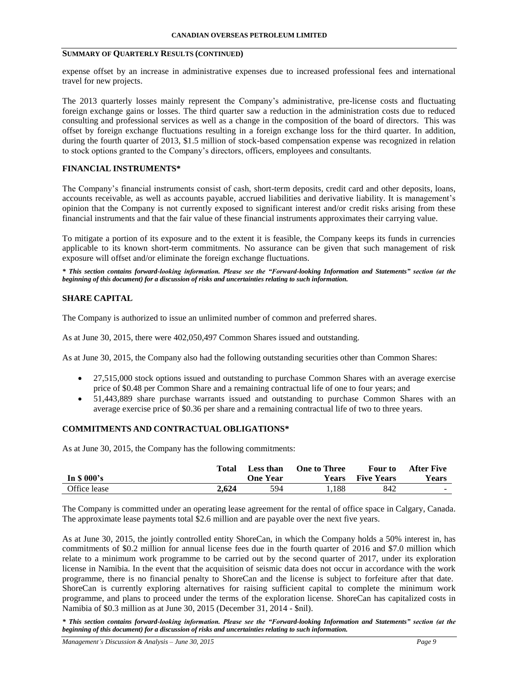## **SUMMARY OF QUARTERLY RESULTS (CONTINUED)**

expense offset by an increase in administrative expenses due to increased professional fees and international travel for new projects.

The 2013 quarterly losses mainly represent the Company's administrative, pre-license costs and fluctuating foreign exchange gains or losses. The third quarter saw a reduction in the administration costs due to reduced consulting and professional services as well as a change in the composition of the board of directors. This was offset by foreign exchange fluctuations resulting in a foreign exchange loss for the third quarter. In addition, during the fourth quarter of 2013, \$1.5 million of stock-based compensation expense was recognized in relation to stock options granted to the Company's directors, officers, employees and consultants.

## **FINANCIAL INSTRUMENTS\***

The Company's financial instruments consist of cash, short-term deposits, credit card and other deposits, loans, accounts receivable, as well as accounts payable, accrued liabilities and derivative liability. It is management's opinion that the Company is not currently exposed to significant interest and/or credit risks arising from these financial instruments and that the fair value of these financial instruments approximates their carrying value.

To mitigate a portion of its exposure and to the extent it is feasible, the Company keeps its funds in currencies applicable to its known short-term commitments. No assurance can be given that such management of risk exposure will offset and/or eliminate the foreign exchange fluctuations.

*\* This section contains forward-looking information. Please see the "Forward-looking Information and Statements" section (at the beginning of this document) for a discussion of risks and uncertainties relating to such information.*

# **SHARE CAPITAL**

The Company is authorized to issue an unlimited number of common and preferred shares.

As at June 30, 2015, there were 402,050,497 Common Shares issued and outstanding.

As at June 30, 2015, the Company also had the following outstanding securities other than Common Shares:

- 27,515,000 stock options issued and outstanding to purchase Common Shares with an average exercise price of \$0.48 per Common Share and a remaining contractual life of one to four years; and
- 51,443,889 share purchase warrants issued and outstanding to purchase Common Shares with an average exercise price of \$0.36 per share and a remaining contractual life of two to three years.

## **COMMITMENTS AND CONTRACTUAL OBLIGATIONS\***

As at June 30, 2015, the Company has the following commitments:

|              | Total | Less than       | <b>One to Three</b> | Four to           | <b>After Five</b> |
|--------------|-------|-----------------|---------------------|-------------------|-------------------|
| In \$ 000's  |       | <b>One Year</b> | Years               | <b>Five Years</b> | Years             |
| Office lease | 2.624 | 594             | 1.188               | 842               | $\sim$            |

The Company is committed under an operating lease agreement for the rental of office space in Calgary, Canada. The approximate lease payments total \$2.6 million and are payable over the next five years.

As at June 30, 2015, the jointly controlled entity ShoreCan, in which the Company holds a 50% interest in, has commitments of \$0.2 million for annual license fees due in the fourth quarter of 2016 and \$7.0 million which relate to a minimum work programme to be carried out by the second quarter of 2017, under its exploration license in Namibia. In the event that the acquisition of seismic data does not occur in accordance with the work programme, there is no financial penalty to ShoreCan and the license is subject to forfeiture after that date. ShoreCan is currently exploring alternatives for raising sufficient capital to complete the minimum work programme, and plans to proceed under the terms of the exploration license. ShoreCan has capitalized costs in Namibia of \$0.3 million as at June 30, 2015 (December 31, 2014 - \$nil).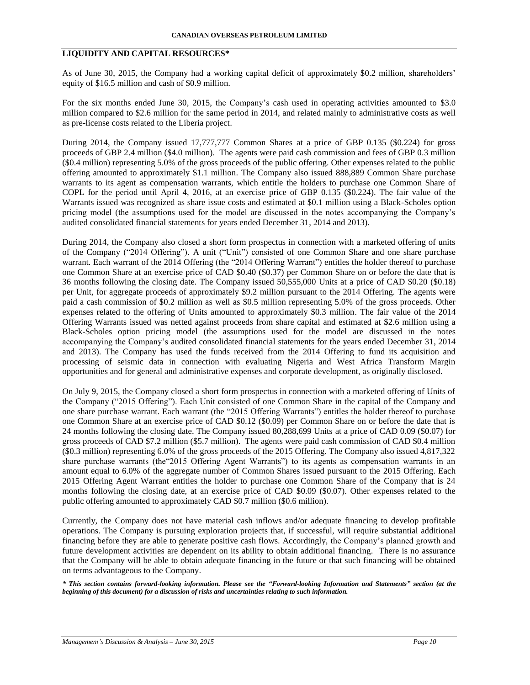# **LIQUIDITY AND CAPITAL RESOURCES\***

As of June 30, 2015, the Company had a working capital deficit of approximately \$0.2 million, shareholders' equity of \$16.5 million and cash of \$0.9 million.

For the six months ended June 30, 2015, the Company's cash used in operating activities amounted to \$3.0 million compared to \$2.6 million for the same period in 2014, and related mainly to administrative costs as well as pre-license costs related to the Liberia project.

During 2014, the Company issued 17,777,777 Common Shares at a price of GBP 0.135 (\$0.224) for gross proceeds of GBP 2.4 million (\$4.0 million). The agents were paid cash commission and fees of GBP 0.3 million (\$0.4 million) representing 5.0% of the gross proceeds of the public offering. Other expenses related to the public offering amounted to approximately \$1.1 million. The Company also issued 888,889 Common Share purchase warrants to its agent as compensation warrants, which entitle the holders to purchase one Common Share of COPL for the period until April 4, 2016, at an exercise price of GBP 0.135 (\$0.224). The fair value of the Warrants issued was recognized as share issue costs and estimated at \$0.1 million using a Black-Scholes option pricing model (the assumptions used for the model are discussed in the notes accompanying the Company's audited consolidated financial statements for years ended December 31, 2014 and 2013).

During 2014, the Company also closed a short form prospectus in connection with a marketed offering of units of the Company ("2014 Offering"). A unit ("Unit") consisted of one Common Share and one share purchase warrant. Each warrant of the 2014 Offering (the "2014 Offering Warrant") entitles the holder thereof to purchase one Common Share at an exercise price of CAD \$0.40 (\$0.37) per Common Share on or before the date that is 36 months following the closing date. The Company issued 50,555,000 Units at a price of CAD \$0.20 (\$0.18) per Unit, for aggregate proceeds of approximately \$9.2 million pursuant to the 2014 Offering. The agents were paid a cash commission of \$0.2 million as well as \$0.5 million representing 5.0% of the gross proceeds. Other expenses related to the offering of Units amounted to approximately \$0.3 million. The fair value of the 2014 Offering Warrants issued was netted against proceeds from share capital and estimated at \$2.6 million using a Black-Scholes option pricing model (the assumptions used for the model are discussed in the notes accompanying the Company's audited consolidated financial statements for the years ended December 31, 2014 and 2013). The Company has used the funds received from the 2014 Offering to fund its acquisition and processing of seismic data in connection with evaluating Nigeria and West Africa Transform Margin opportunities and for general and administrative expenses and corporate development, as originally disclosed.

On July 9, 2015, the Company closed a short form prospectus in connection with a marketed offering of Units of the Company ("2015 Offering"). Each Unit consisted of one Common Share in the capital of the Company and one share purchase warrant. Each warrant (the "2015 Offering Warrants") entitles the holder thereof to purchase one Common Share at an exercise price of CAD \$0.12 (\$0.09) per Common Share on or before the date that is 24 months following the closing date. The Company issued 80,288,699 Units at a price of CAD 0.09 (\$0.07) for gross proceeds of CAD \$7.2 million (\$5.7 million). The agents were paid cash commission of CAD \$0.4 million (\$0.3 million) representing 6.0% of the gross proceeds of the 2015 Offering. The Company also issued 4,817,322 share purchase warrants (the"2015 Offering Agent Warrants") to its agents as compensation warrants in an amount equal to 6.0% of the aggregate number of Common Shares issued pursuant to the 2015 Offering. Each 2015 Offering Agent Warrant entitles the holder to purchase one Common Share of the Company that is 24 months following the closing date, at an exercise price of CAD \$0.09 (\$0.07). Other expenses related to the public offering amounted to approximately CAD \$0.7 million (\$0.6 million).

Currently, the Company does not have material cash inflows and/or adequate financing to develop profitable operations. The Company is pursuing exploration projects that, if successful, will require substantial additional financing before they are able to generate positive cash flows. Accordingly, the Company's planned growth and future development activities are dependent on its ability to obtain additional financing. There is no assurance that the Company will be able to obtain adequate financing in the future or that such financing will be obtained on terms advantageous to the Company.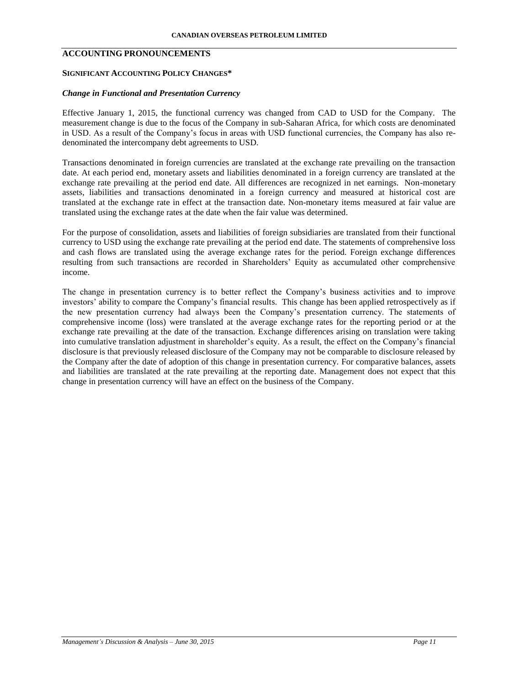# **ACCOUNTING PRONOUNCEMENTS**

## **SIGNIFICANT ACCOUNTING POLICY CHANGES\***

## *Change in Functional and Presentation Currency*

Effective January 1, 2015, the functional currency was changed from CAD to USD for the Company. The measurement change is due to the focus of the Company in sub-Saharan Africa, for which costs are denominated in USD. As a result of the Company's focus in areas with USD functional currencies, the Company has also redenominated the intercompany debt agreements to USD.

Transactions denominated in foreign currencies are translated at the exchange rate prevailing on the transaction date. At each period end, monetary assets and liabilities denominated in a foreign currency are translated at the exchange rate prevailing at the period end date. All differences are recognized in net earnings. Non-monetary assets, liabilities and transactions denominated in a foreign currency and measured at historical cost are translated at the exchange rate in effect at the transaction date. Non-monetary items measured at fair value are translated using the exchange rates at the date when the fair value was determined.

For the purpose of consolidation, assets and liabilities of foreign subsidiaries are translated from their functional currency to USD using the exchange rate prevailing at the period end date. The statements of comprehensive loss and cash flows are translated using the average exchange rates for the period. Foreign exchange differences resulting from such transactions are recorded in Shareholders' Equity as accumulated other comprehensive income.

The change in presentation currency is to better reflect the Company's business activities and to improve investors' ability to compare the Company's financial results. This change has been applied retrospectively as if the new presentation currency had always been the Company's presentation currency. The statements of comprehensive income (loss) were translated at the average exchange rates for the reporting period or at the exchange rate prevailing at the date of the transaction. Exchange differences arising on translation were taking into cumulative translation adjustment in shareholder's equity. As a result, the effect on the Company's financial disclosure is that previously released disclosure of the Company may not be comparable to disclosure released by the Company after the date of adoption of this change in presentation currency. For comparative balances, assets and liabilities are translated at the rate prevailing at the reporting date. Management does not expect that this change in presentation currency will have an effect on the business of the Company.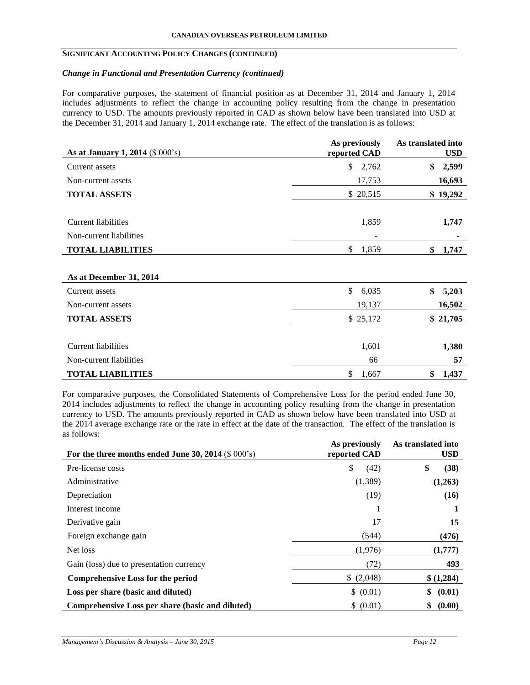## **SIGNIFICANT ACCOUNTING POLICY CHANGES (CONTINUED)**

## *Change in Functional and Presentation Currency (continued)*

For comparative purposes, the statement of financial position as at December 31, 2014 and January 1, 2014 includes adjustments to reflect the change in accounting policy resulting from the change in presentation currency to USD. The amounts previously reported in CAD as shown below have been translated into USD at the December 31, 2014 and January 1, 2014 exchange rate. The effect of the translation is as follows:

| As at January 1, 2014 (\$ 000's) | As previously<br>reported CAD | As translated into<br><b>USD</b> |
|----------------------------------|-------------------------------|----------------------------------|
| Current assets                   | $\mathbb{S}$<br>2,762         | \$<br>2,599                      |
| Non-current assets               | 17,753                        | 16,693                           |
| <b>TOTAL ASSETS</b>              | \$ 20,515                     | \$19,292                         |
| Current liabilities              | 1,859                         | 1,747                            |
| Non-current liabilities          | -                             |                                  |
| <b>TOTAL LIABILITIES</b>         | \$<br>1,859                   | \$<br>1,747                      |
| As at December 31, 2014          |                               |                                  |
| Current assets                   | \$<br>6,035                   | \$<br>5,203                      |
| Non-current assets               | 19,137                        | 16,502                           |
| <b>TOTAL ASSETS</b>              | \$25,172                      | \$21,705                         |
| <b>Current liabilities</b>       | 1,601                         | 1,380                            |
| Non-current liabilities          | 66                            | 57                               |
| <b>TOTAL LIABILITIES</b>         | \$<br>1,667                   | \$<br>1,437                      |

For comparative purposes, the Consolidated Statements of Comprehensive Loss for the period ended June 30, 2014 includes adjustments to reflect the change in accounting policy resulting from the change in presentation currency to USD. The amounts previously reported in CAD as shown below have been translated into USD at the 2014 average exchange rate or the rate in effect at the date of the transaction. The effect of the translation is as follows:

|                                                       | As previously | As translated into |
|-------------------------------------------------------|---------------|--------------------|
| For the three months ended June 30, 2014 $(\$ 000's)$ | reported CAD  | <b>USD</b>         |
| Pre-license costs                                     | \$<br>(42)    | \$<br>(38)         |
| Administrative                                        | (1,389)       | (1,263)            |
| Depreciation                                          | (19)          | (16)               |
| Interest income                                       |               |                    |
| Derivative gain                                       | 17            | 15                 |
| Foreign exchange gain                                 | (544)         | (476)              |
| Net loss                                              | (1,976)       | (1,777)            |
| Gain (loss) due to presentation currency              | (72)          | 493                |
| <b>Comprehensive Loss for the period</b>              | \$(2,048)     | \$(1,284)          |
| Loss per share (basic and diluted)                    | \$ (0.01)     | \$<br>(0.01)       |
| Comprehensive Loss per share (basic and diluted)      | \$ (0.01)     | (0.00)<br>\$       |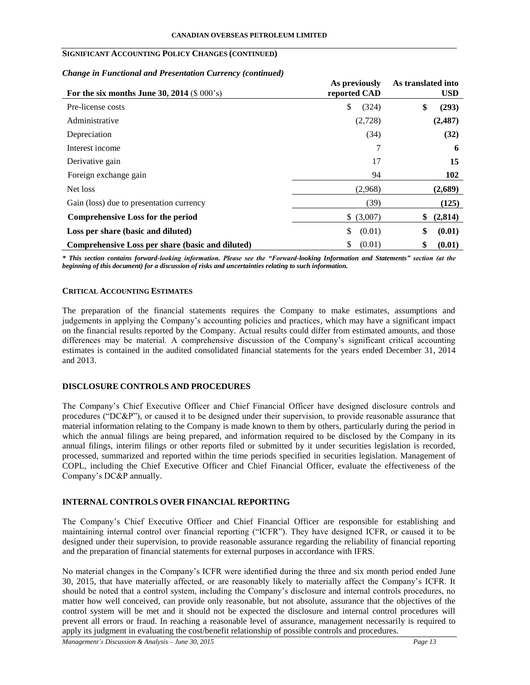# **SIGNIFICANT ACCOUNTING POLICY CHANGES (CONTINUED)**

## *Change in Functional and Presentation Currency (continued)*

|                                                  | As previously | As translated into |
|--------------------------------------------------|---------------|--------------------|
| For the six months June 30, 2014 $(\$ 000's)$    | reported CAD  | <b>USD</b>         |
| Pre-license costs                                | \$<br>(324)   | \$<br>(293)        |
| Administrative                                   | (2,728)       | (2,487)            |
| Depreciation                                     | (34)          | (32)               |
| Interest income                                  |               | 6                  |
| Derivative gain                                  | 17            | 15                 |
| Foreign exchange gain                            | 94            | 102                |
| Net loss                                         | (2,968)       | (2,689)            |
| Gain (loss) due to presentation currency         | (39)          | (125)              |
| Comprehensive Loss for the period                | \$ (3,007)    | (2,814)<br>\$      |
| Loss per share (basic and diluted)               | \$<br>(0.01)  | \$<br>(0.01)       |
| Comprehensive Loss per share (basic and diluted) | \$<br>(0.01)  | \$<br>(0.01)       |

*\* This section contains forward-looking information. Please see the "Forward-looking Information and Statements" section (at the beginning of this document) for a discussion of risks and uncertainties relating to such information.*

# **CRITICAL ACCOUNTING ESTIMATES**

The preparation of the financial statements requires the Company to make estimates, assumptions and judgements in applying the Company's accounting policies and practices, which may have a significant impact on the financial results reported by the Company. Actual results could differ from estimated amounts, and those differences may be material. A comprehensive discussion of the Company's significant critical accounting estimates is contained in the audited consolidated financial statements for the years ended December 31, 2014 and 2013.

# **DISCLOSURE CONTROLS AND PROCEDURES**

The Company's Chief Executive Officer and Chief Financial Officer have designed disclosure controls and procedures ("DC&P"), or caused it to be designed under their supervision, to provide reasonable assurance that material information relating to the Company is made known to them by others, particularly during the period in which the annual filings are being prepared, and information required to be disclosed by the Company in its annual filings, interim filings or other reports filed or submitted by it under securities legislation is recorded, processed, summarized and reported within the time periods specified in securities legislation. Management of COPL, including the Chief Executive Officer and Chief Financial Officer, evaluate the effectiveness of the Company's DC&P annually.

# **INTERNAL CONTROLS OVER FINANCIAL REPORTING**

The Company's Chief Executive Officer and Chief Financial Officer are responsible for establishing and maintaining internal control over financial reporting ("ICFR"). They have designed ICFR, or caused it to be designed under their supervision, to provide reasonable assurance regarding the reliability of financial reporting and the preparation of financial statements for external purposes in accordance with IFRS.

No material changes in the Company's ICFR were identified during the three and six month period ended June 30, 2015, that have materially affected, or are reasonably likely to materially affect the Company's ICFR. It should be noted that a control system, including the Company's disclosure and internal controls procedures, no matter how well conceived, can provide only reasonable, but not absolute, assurance that the objectives of the control system will be met and it should not be expected the disclosure and internal control procedures will prevent all errors or fraud. In reaching a reasonable level of assurance, management necessarily is required to apply its judgment in evaluating the cost/benefit relationship of possible controls and procedures.